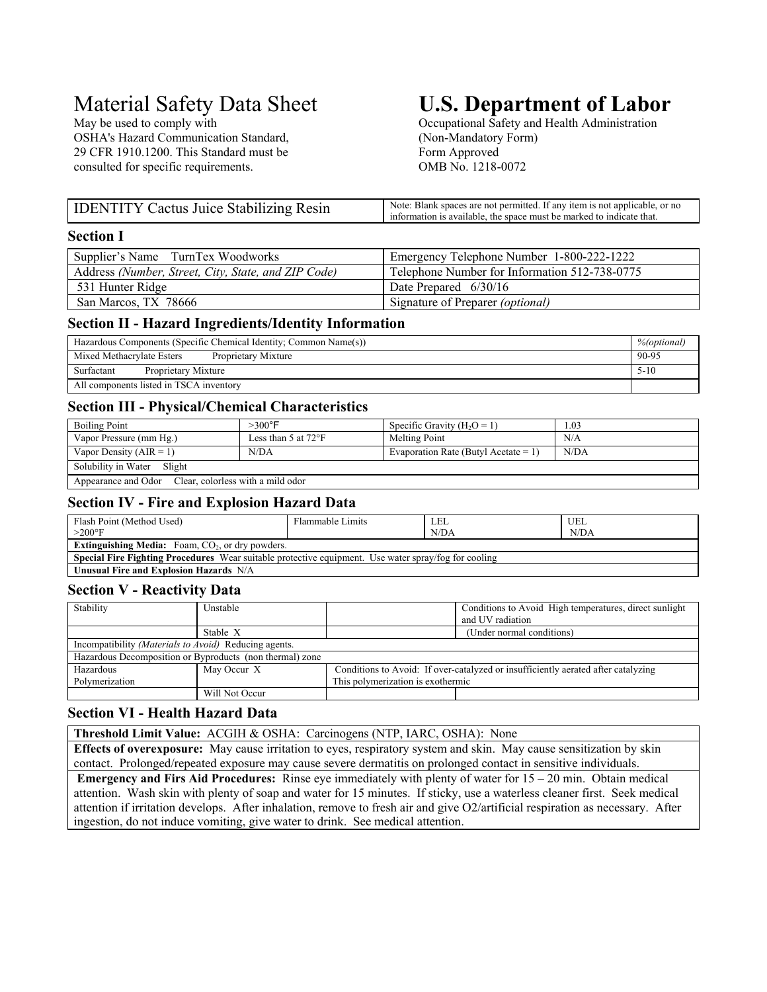OSHA's Hazard Communication Standard, (Non-Mandatory Form) 29 CFR 1910.1200. This Standard must be Form Approved consulted for specific requirements. OMB No. 1218-0072

# Material Safety Data Sheet **U.S. Department of Labor**<br>May be used to comply with Cocupational Safety and Health Administration

Occupational Safety and Health Administration

| <b>IDENTITY Cactus Juice Stabilizing Resin</b> | $\therefore$ : Blank spaces are not permitted. If any item is not applicable, or no<br>Note:<br>information is available, the space must be marked to indicate that. |
|------------------------------------------------|----------------------------------------------------------------------------------------------------------------------------------------------------------------------|

## **Section I**

| Supplier's Name TurnTex Woodworks                   | Emergency Telephone Number 1-800-222-1222     |
|-----------------------------------------------------|-----------------------------------------------|
| Address (Number, Street, City, State, and ZIP Code) | Telephone Number for Information 512-738-0775 |
| 531 Hunter Ridge                                    | Date Prepared $6/30/16$                       |
| San Marcos, TX 78666                                | Signature of Preparer (optional)              |

# **Section II - Hazard Ingredients/Identity Information**

| Hazardous Components (Specific Chemical Identity; Common Name(s)) |       |
|-------------------------------------------------------------------|-------|
| Mixed Methacrylate Esters<br>Proprietary Mixture                  | 90-95 |
| Surfactant<br>$5 - 10$<br>Proprietary Mixture                     |       |
| All components listed in TSCA inventory                           |       |

# **Section III - Physical/Chemical Characteristics**

| <b>Boiling Point</b>                                  | $>300^{\circ}$ F              | Specific Gravity $(H_2O = 1)$        | 1.03 |
|-------------------------------------------------------|-------------------------------|--------------------------------------|------|
| Vapor Pressure (mm Hg.)                               | Less than 5 at $72^{\circ}$ F | Melting Point                        | N/A  |
| Vapor Density ( $AIR = 1$ )                           | N/DA                          | Evaporation Rate (Butyl Acetate = 1) | N/DA |
| Solubility in Water<br>Slight                         |                               |                                      |      |
| Appearance and Odor Clear, colorless with a mild odor |                               |                                      |      |

# **Section IV - Fire and Explosion Hazard Data**

| Flash Point (Method Used)                                                                                   | Flammable Limits | LEL  | UEL <sup>-</sup> |
|-------------------------------------------------------------------------------------------------------------|------------------|------|------------------|
| $>200^\circ F$                                                                                              |                  | N/DA | N/DA             |
| <b>Extinguishing Media:</b> Foam, $CO2$ , or dry powders.                                                   |                  |      |                  |
| <b>Special Fire Fighting Procedures</b> Wear suitable protective equipment. Use water spray/fog for cooling |                  |      |                  |
| Unusual Fire and Explosion Hazards N/A                                                                      |                  |      |                  |

# **Section V - Reactivity Data**

| Stability                                             | Unstable                                                 |                                                                                   | Conditions to Avoid High temperatures, direct sunlight<br>and UV radiation |
|-------------------------------------------------------|----------------------------------------------------------|-----------------------------------------------------------------------------------|----------------------------------------------------------------------------|
|                                                       | Stable X                                                 | (Under normal conditions)                                                         |                                                                            |
| Incompatibility (Materials to Avoid) Reducing agents. |                                                          |                                                                                   |                                                                            |
|                                                       | Hazardous Decomposition or Byproducts (non thermal) zone |                                                                                   |                                                                            |
| Hazardous                                             | May Occur X                                              | Conditions to Avoid: If over-catalyzed or insufficiently aerated after catalyzing |                                                                            |
| Polymerization                                        |                                                          | This polymerization is exothermic                                                 |                                                                            |
|                                                       | Will Not Occur                                           |                                                                                   |                                                                            |

# **Section VI - Health Hazard Data**

**Threshold Limit Value:** ACGIH & OSHA: Carcinogens (NTP, IARC, OSHA): None

**Effects of overexposure:** May cause irritation to eyes, respiratory system and skin. May cause sensitization by skin contact. Prolonged/repeated exposure may cause severe dermatitis on prolonged contact in sensitive individuals.

 **Emergency and Firs Aid Procedures:** Rinse eye immediately with plenty of water for 15 – 20 min. Obtain medical attention. Wash skin with plenty of soap and water for 15 minutes. If sticky, use a waterless cleaner first. Seek medical attention if irritation develops. After inhalation, remove to fresh air and give O2/artificial respiration as necessary. After ingestion, do not induce vomiting, give water to drink. See medical attention.